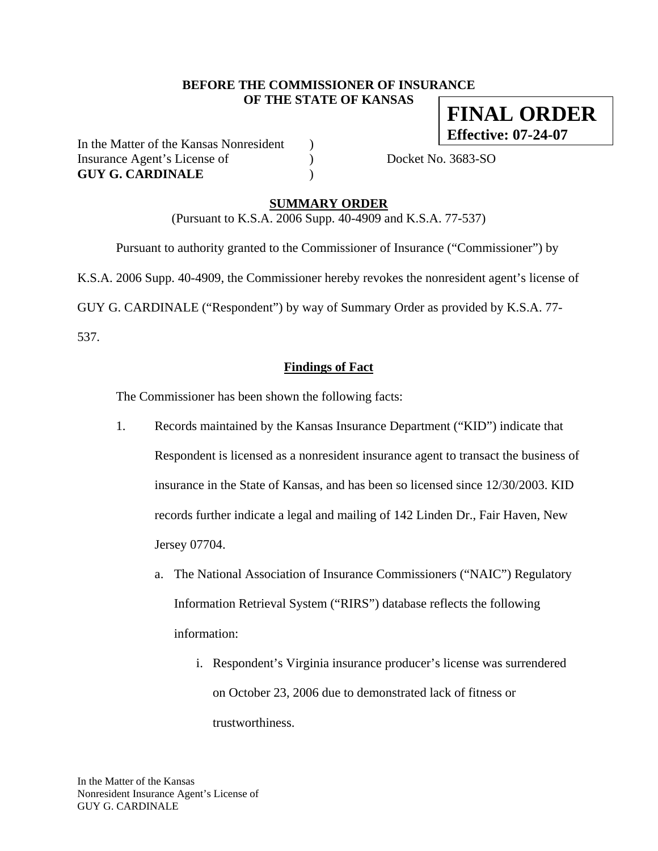#### **BEFORE THE COMMISSIONER OF INSURANCE OF THE STATE OF KANSAS**

**FINAL ORDER Effective: 07-24-07**

In the Matter of the Kansas Nonresident ) Insurance Agent's License of  $Docket No. 3683-SO$ **GUY G. CARDINALE** )

## **SUMMARY ORDER**

(Pursuant to K.S.A. 2006 Supp. 40-4909 and K.S.A. 77-537)

Pursuant to authority granted to the Commissioner of Insurance ("Commissioner") by

K.S.A. 2006 Supp. 40-4909, the Commissioner hereby revokes the nonresident agent's license of

GUY G. CARDINALE ("Respondent") by way of Summary Order as provided by K.S.A. 77-

537.

## **Findings of Fact**

The Commissioner has been shown the following facts:

- 1. Records maintained by the Kansas Insurance Department ("KID") indicate that Respondent is licensed as a nonresident insurance agent to transact the business of insurance in the State of Kansas, and has been so licensed since 12/30/2003. KID records further indicate a legal and mailing of 142 Linden Dr., Fair Haven, New Jersey 07704.
	- a. The National Association of Insurance Commissioners ("NAIC") Regulatory Information Retrieval System ("RIRS") database reflects the following information:
		- i. Respondent's Virginia insurance producer's license was surrendered on October 23, 2006 due to demonstrated lack of fitness or trustworthiness.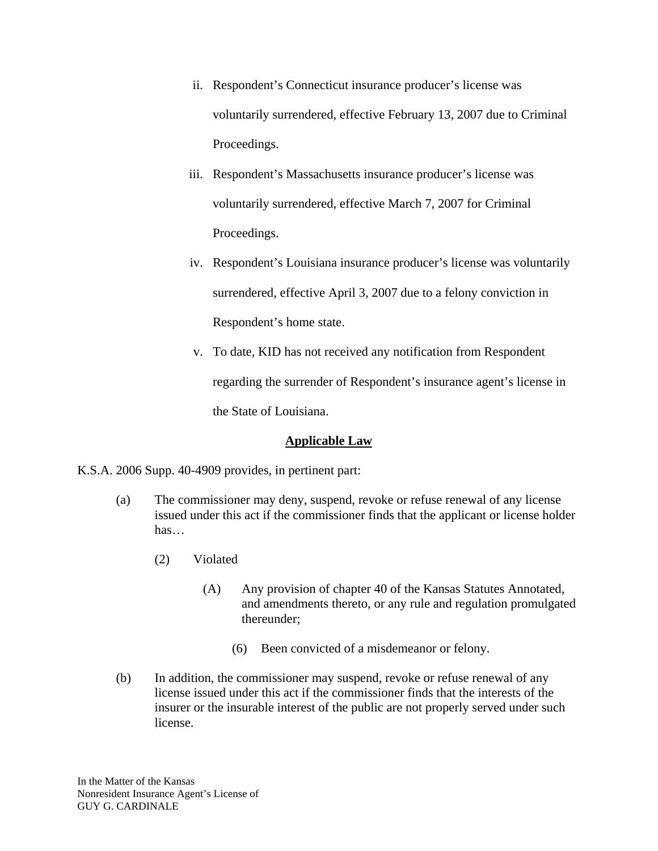- ii. Respondent's Connecticut insurance producer's license was voluntarily surrendered, effective February 13, 2007 due to Criminal Proceedings.
- iii. Respondent's Massachusetts insurance producer's license was voluntarily surrendered, effective March 7, 2007 for Criminal Proceedings.
- iv. Respondent's Louisiana insurance producer's license was voluntarily surrendered, effective April 3, 2007 due to a felony conviction in Respondent's home state.
- v. To date, KID has not received any notification from Respondent regarding the surrender of Respondent's insurance agent's license in the State of Louisiana.

## **Applicable Law**

K.S.A. 2006 Supp. 40-4909 provides, in pertinent part:

- (a) The commissioner may deny, suspend, revoke or refuse renewal of any license issued under this act if the commissioner finds that the applicant or license holder has…
	- (2) Violated
		- (A) Any provision of chapter 40 of the Kansas Statutes Annotated, and amendments thereto, or any rule and regulation promulgated thereunder;
			- (6) Been convicted of a misdemeanor or felony.
- (b) In addition, the commissioner may suspend, revoke or refuse renewal of any license issued under this act if the commissioner finds that the interests of the insurer or the insurable interest of the public are not properly served under such license.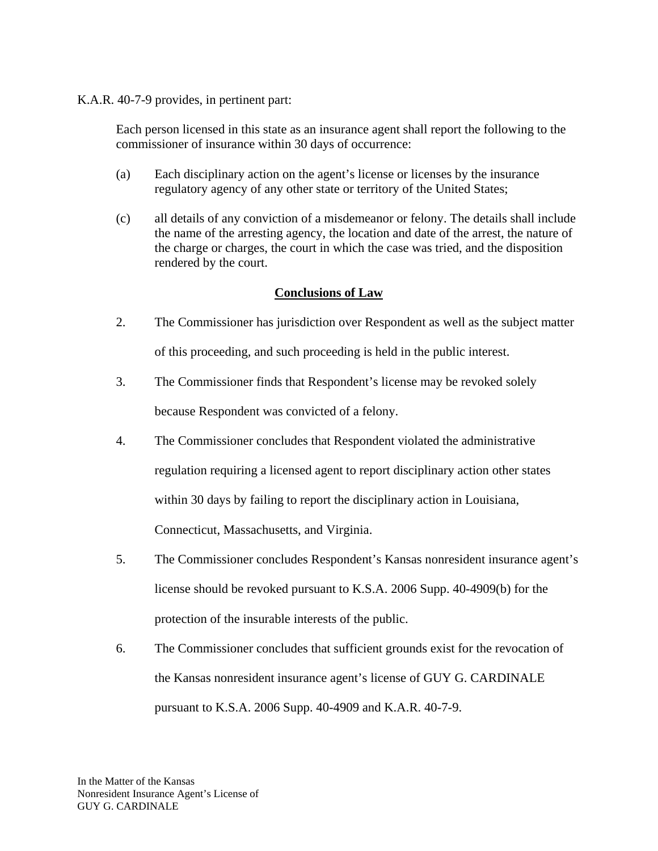K.A.R. 40-7-9 provides, in pertinent part:

Each person licensed in this state as an insurance agent shall report the following to the commissioner of insurance within 30 days of occurrence:

- (a) Each disciplinary action on the agent's license or licenses by the insurance regulatory agency of any other state or territory of the United States;
- (c) all details of any conviction of a misdemeanor or felony. The details shall include the name of the arresting agency, the location and date of the arrest, the nature of the charge or charges, the court in which the case was tried, and the disposition rendered by the court.

## **Conclusions of Law**

- 2. The Commissioner has jurisdiction over Respondent as well as the subject matter of this proceeding, and such proceeding is held in the public interest.
- 3. The Commissioner finds that Respondent's license may be revoked solely because Respondent was convicted of a felony.
- 4. The Commissioner concludes that Respondent violated the administrative regulation requiring a licensed agent to report disciplinary action other states within 30 days by failing to report the disciplinary action in Louisiana, Connecticut, Massachusetts, and Virginia.
- 5. The Commissioner concludes Respondent's Kansas nonresident insurance agent's license should be revoked pursuant to K.S.A. 2006 Supp. 40-4909(b) for the protection of the insurable interests of the public.
- 6. The Commissioner concludes that sufficient grounds exist for the revocation of the Kansas nonresident insurance agent's license of GUY G. CARDINALE pursuant to K.S.A. 2006 Supp. 40-4909 and K.A.R. 40-7-9.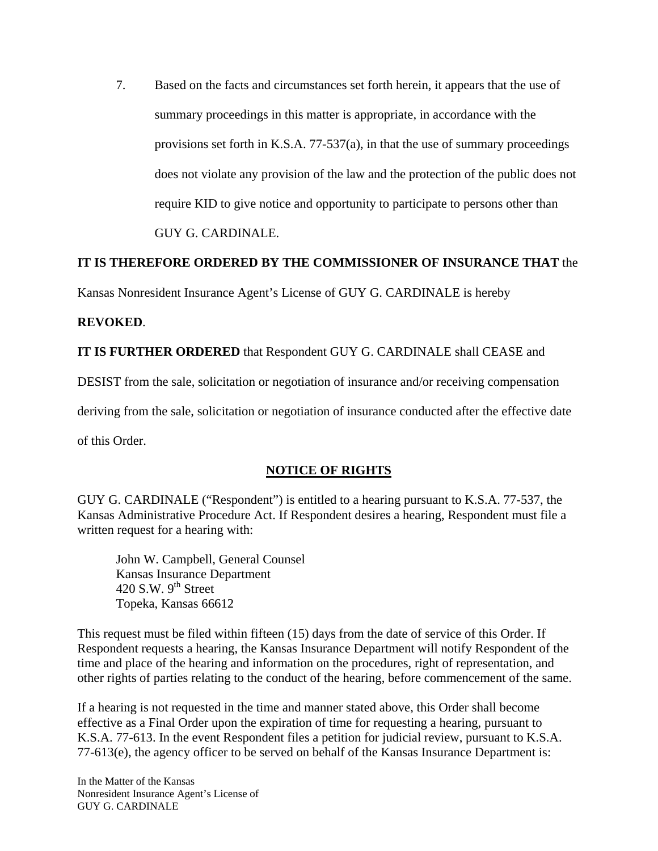7. Based on the facts and circumstances set forth herein, it appears that the use of summary proceedings in this matter is appropriate, in accordance with the provisions set forth in K.S.A. 77-537(a), in that the use of summary proceedings does not violate any provision of the law and the protection of the public does not require KID to give notice and opportunity to participate to persons other than GUY G. CARDINALE.

## **IT IS THEREFORE ORDERED BY THE COMMISSIONER OF INSURANCE THAT** the

Kansas Nonresident Insurance Agent's License of GUY G. CARDINALE is hereby

#### **REVOKED**.

**IT IS FURTHER ORDERED** that Respondent GUY G. CARDINALE shall CEASE and

DESIST from the sale, solicitation or negotiation of insurance and/or receiving compensation

deriving from the sale, solicitation or negotiation of insurance conducted after the effective date

of this Order.

#### **NOTICE OF RIGHTS**

GUY G. CARDINALE ("Respondent") is entitled to a hearing pursuant to K.S.A. 77-537, the Kansas Administrative Procedure Act. If Respondent desires a hearing, Respondent must file a written request for a hearing with:

 John W. Campbell, General Counsel Kansas Insurance Department 420 S.W.  $9<sup>th</sup>$  Street Topeka, Kansas 66612

This request must be filed within fifteen (15) days from the date of service of this Order. If Respondent requests a hearing, the Kansas Insurance Department will notify Respondent of the time and place of the hearing and information on the procedures, right of representation, and other rights of parties relating to the conduct of the hearing, before commencement of the same.

If a hearing is not requested in the time and manner stated above, this Order shall become effective as a Final Order upon the expiration of time for requesting a hearing, pursuant to K.S.A. 77-613. In the event Respondent files a petition for judicial review, pursuant to K.S.A. 77-613(e), the agency officer to be served on behalf of the Kansas Insurance Department is:

In the Matter of the Kansas Nonresident Insurance Agent's License of GUY G. CARDINALE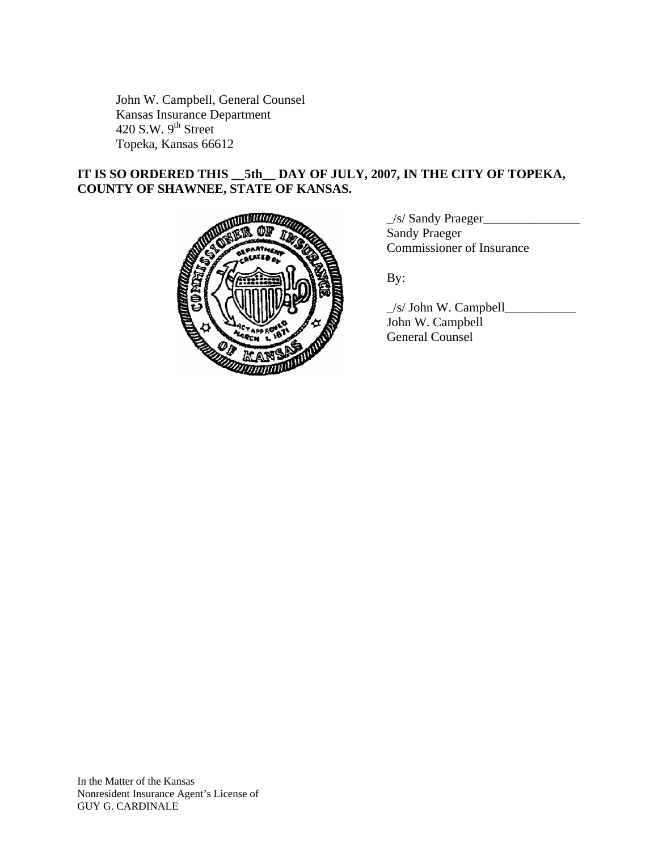John W. Campbell, General Counsel Kansas Insurance Department 420 S.W.  $9<sup>th</sup>$  Street Topeka, Kansas 66612

# **IT IS SO ORDERED THIS \_\_5th\_\_ DAY OF JULY, 2007, IN THE CITY OF TOPEKA, COUNTY OF SHAWNEE, STATE OF KANSAS.**



\_/s/ Sandy Praeger\_\_\_\_\_\_\_\_\_\_\_\_\_\_\_ Sandy Praeger Commissioner of Insurance

 \_/s/ John W. Campbell\_\_\_\_\_\_\_\_\_\_\_ John W. Campbell General Counsel